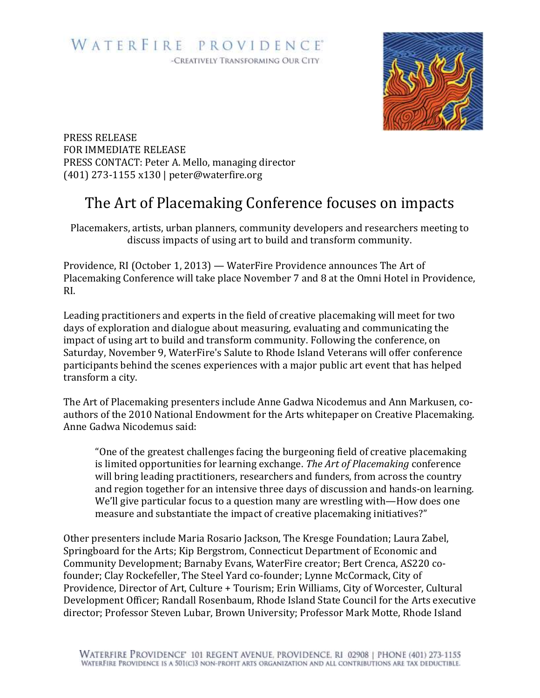## WATERFIRE PROVIDENCE® -CREATIVELY TRANSFORMING OUR CITY

PRESS RELEASE FOR IMMEDIATE RELEASE PRESS CONTACT: Peter A. Mello, managing director (401) 273-1155 x130 | peter@waterfire.org

## The Art of Placemaking Conference focuses on impacts

Placemakers, artists, urban planners, community developers and researchers meeting to discuss impacts of using art to build and transform community.

Providence, RI (October 1, 2013) — WaterFire Providence announces The Art of Placemaking Conference will take place November 7 and 8 at the Omni Hotel in Providence, RI.

Leading practitioners and experts in the field of creative placemaking will meet for two days of exploration and dialogue about measuring, evaluating and communicating the impact of using art to build and transform community. Following the conference, on Saturday, November 9, WaterFire's Salute to Rhode Island Veterans will offer conference participants behind the scenes experiences with a major public art event that has helped transform a city.

The Art of Placemaking presenters include Anne Gadwa Nicodemus and Ann Markusen, coauthors of the 2010 National Endowment for the Arts whitepaper on Creative Placemaking. Anne Gadwa Nicodemus said:

"One of the greatest challenges facing the burgeoning field of creative placemaking is limited opportunities for learning exchange. *The Art of Placemaking* conference will bring leading practitioners, researchers and funders, from across the country and region together for an intensive three days of discussion and hands-on learning. We'll give particular focus to a question many are wrestling with—How does one measure and substantiate the impact of creative placemaking initiatives?"

Other presenters include Maria Rosario Jackson, The Kresge Foundation; Laura Zabel, Springboard for the Arts; Kip Bergstrom, Connecticut Department of Economic and Community Development; Barnaby Evans, WaterFire creator; Bert Crenca, AS220 cofounder; Clay Rockefeller, The Steel Yard co-founder; Lynne McCormack, City of Providence, Director of Art, Culture + Tourism; Erin Williams, City of Worcester, Cultural Development Officer; Randall Rosenbaum, Rhode Island State Council for the Arts executive director; Professor Steven Lubar, Brown University; Professor Mark Motte, Rhode Island